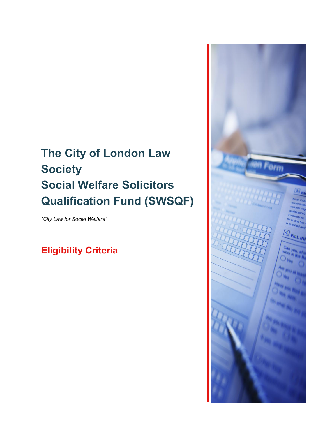# **The City of London Law Society Social Welfare Solicitors Qualification Fund (SWSQF)**

*"City Law for Social Welfare"* 

# **Eligibility Criteria**

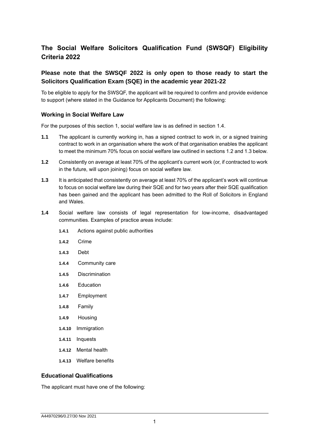# **The Social Welfare Solicitors Qualification Fund (SWSQF) Eligibility Criteria 2022**

# **Please note that the SWSQF 2022 is only open to those ready to start the Solicitors Qualification Exam (SQE) in the academic year 2021-22**

To be eligible to apply for the SWSQF, the applicant will be required to confirm and provide evidence to support (where stated in the Guidance for Applicants Document) the following:

#### **Working in Social Welfare Law**

For the purposes of this section 1, social welfare law is as defined in section 1.4.

- **1.1** The applicant is currently working in, has a signed contract to work in, or a signed training contract to work in an organisation where the work of that organisation enables the applicant to meet the minimum 70% focus on social welfare law outlined in sections 1.2 and 1.3 below.
- **1.2** Consistently on average at least 70% of the applicant's current work (or, if contracted to work in the future, will upon joining) focus on social welfare law.
- **1.3** It is anticipated that consistently on average at least 70% of the applicant's work will continue to focus on social welfare law during their SQE and for two years after their SQE qualification has been gained and the applicant has been admitted to the Roll of Solicitors in England and Wales.
- **1.4** Social welfare law consists of legal representation for low-income, disadvantaged communities. Examples of practice areas include:
	- **1.4.1** Actions against public authorities
	- **1.4.2** Crime
	- **1.4.3** Debt
	- **1.4.4** Community care
	- **1.4.5** Discrimination
	- **1.4.6** Education
	- **1.4.7** Employment
	- **1.4.8** Family
	- **1.4.9** Housing
	- **1.4.10** Immigration
	- **1.4.11** Inquests
	- **1.4.12** Mental health
	- **1.4.13** Welfare benefits

## **Educational Qualifications**

The applicant must have one of the following: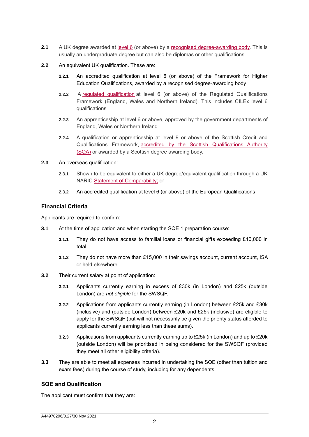- **2.1** A UK degree awarded at [level 6](https://www.gov.uk/what-different-qualification-levels-mean/list-of-qualification-levels) (or above) by a [recognised degree-awarding body.](https://www.gov.uk/guidance/recognised-uk-degrees) This is usually an undergraduate degree but can also be diplomas or other qualifications
- **2.2** An equivalent UK qualification. These are:
	- **2.2.1** An accredited qualification at level 6 (or above) of the Framework for Higher Education Qualifications, awarded by a recognised degree-awarding body
	- **2.2.2** A [regulated qualification](https://www.gov.uk/find-a-regulated-qualification) at level 6 (or above) of the Regulated Qualifications Framework (England, Wales and Northern Ireland). This includes CILEx level 6 qualifications
	- **2.2.3** An apprenticeship at level 6 or above, approved by the government departments of England, Wales or Northern Ireland
	- **2.2.4** A qualification or apprenticeship at level 9 or above of the Scottish Credit and Qualifications Framework, accredited by the Scottish Qualifications Authority [\(SQA\)](http://www.sqa.org.uk/sqa/files_ccc/Guide_to_Scottish_Qualifications.pdf) or awarded by a Scottish degree awarding body.
- **2.3** An overseas qualification:
	- **2.3.1** Shown to be equivalent to either a UK degree/equivalent qualification through a UK NARIC [Statement of Comparability;](http://ecctis.co.uk/naric/Individuals/Compare%20Qualifications/Statement%20of%20Comparability.aspx) or
	- **2.3.2** An accredited qualification at level 6 (or above) of the European Qualifications.

# **Financial Criteria**

Applicants are required to confirm:

- **3.1** At the time of application and when starting the SQE 1 preparation course:
	- **3.1.1** They do not have access to familial loans or financial gifts exceeding £10,000 in total.
	- **3.1.2** They do not have more than £15,000 in their savings account, current account, ISA or held elsewhere.
- **3.2** Their current salary at point of application:
	- **3.2.1** Applicants currently earning in excess of £30k (in London) and £25k (outside London) are *not eligible* for the SWSQF.
	- **3.2.2** Applications from applicants currently earning (in London) between £25k and £30k (inclusive) and (outside London) between £20k and £25k (inclusive) are eligible to apply for the SWSQF (but will not necessarily be given the priority status afforded to applicants currently earning less than these sums).
	- **3.2.3** Applications from applicants currently earning up to £25k (in London) and up to £20k (outside London) will be prioritised in being considered for the SWSQF (provided they meet all other eligibility criteria).
- **3.3** They are able to meet all expenses incurred in undertaking the SQE (other than tuition and exam fees) during the course of study, including for any dependents.

# **SQE and Qualification**

The applicant must confirm that they are: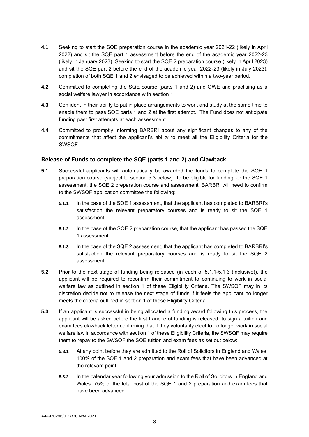- **4.1** Seeking to start the SQE preparation course in the academic year 2021-22 (likely in April 2022) and sit the SQE part 1 assessment before the end of the academic year 2022-23 (likely in January 2023). Seeking to start the SQE 2 preparation course (likely in April 2023) and sit the SQE part 2 before the end of the academic year 2022-23 (likely in July 2023), completion of both SQE 1 and 2 envisaged to be achieved within a two-year period.
- **4.2** Committed to completing the SQE course (parts 1 and 2) and QWE and practising as a social welfare lawyer in accordance with section 1.
- **4.3** Confident in their ability to put in place arrangements to work and study at the same time to enable them to pass SQE parts 1 and 2 at the first attempt. The Fund does not anticipate funding past first attempts at each assessment.
- **4.4** Committed to promptly informing BARBRI about any significant changes to any of the commitments that affect the applicant's ability to meet all the Eligibility Criteria for the SWSQF.

## **Release of Funds to complete the SQE (parts 1 and 2) and Clawback**

- **5.1** Successful applicants will automatically be awarded the funds to complete the SQE 1 preparation course (subject to section 5.3 below). To be eligible for funding for the SQE 1 assessment, the SQE 2 preparation course and assessment, BARBRI will need to confirm to the SWSQF application committee the following:
	- **5.1.1** In the case of the SQE 1 assessment, that the applicant has completed to BARBRI's satisfaction the relevant preparatory courses and is ready to sit the SQE 1 assessment.
	- **5.1.2** In the case of the SQE 2 preparation course, that the applicant has passed the SQE 1 assessment.
	- **5.1.3** In the case of the SQE 2 assessment, that the applicant has completed to BARBRI's satisfaction the relevant preparatory courses and is ready to sit the SQE 2 assessment.
- **5.2** Prior to the next stage of funding being released (in each of 5.1.1-5.1.3 (inclusive)), the applicant will be required to reconfirm their commitment to continuing to work in social welfare law as outlined in section 1 of these Eligibility Criteria. The SWSQF may in its discretion decide not to release the next stage of funds if it feels the applicant no longer meets the criteria outlined in section 1 of these Eligibility Criteria.
- **5.3** If an applicant is successful in being allocated a funding award following this process, the applicant will be asked before the first tranche of funding is released, to sign a tuition and exam fees clawback letter confirming that if they voluntarily elect to no longer work in social welfare law in accordance with section 1 of these Eligibility Criteria, the SWSQF may require them to repay to the SWSQF the SQE tuition and exam fees as set out below:
	- **5.3.1** At any point before they are admitted to the Roll of Solicitors in England and Wales: 100% of the SQE 1 and 2 preparation and exam fees that have been advanced at the relevant point.
	- **5.3.2** In the calendar year following your admission to the Roll of Solicitors in England and Wales: 75% of the total cost of the SQE 1 and 2 preparation and exam fees that have been advanced.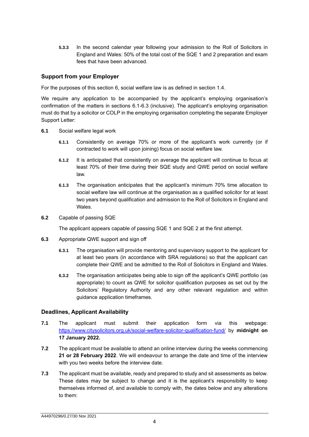**5.3.3** In the second calendar year following your admission to the Roll of Solicitors in England and Wales: 50% of the total cost of the SQE 1 and 2 preparation and exam fees that have been advanced.

## **Support from your Employer**

For the purposes of this section 6, social welfare law is as defined in section 1.4.

We require any application to be accompanied by the applicant's employing organisation's confirmation of the matters in sections 6.1-6.3 (inclusive). The applicant's employing organisation must do that by a solicitor or COLP in the employing organisation completing the separate Employer Support Letter:

- **6.1** Social welfare legal work
	- **6.1.1** Consistently on average 70% or more of the applicant's work currently (or if contracted to work will upon joining) focus on social welfare law.
	- **6.1.2** It is anticipated that consistently on average the applicant will continue to focus at least 70% of their time during their SQE study and QWE period on social welfare law.
	- **6.1.3** The organisation anticipates that the applicant's minimum 70% time allocation to social welfare law will continue at the organisation as a qualified solicitor for at least two years beyond qualification and admission to the Roll of Solicitors in England and Wales.
- **6.2** Capable of passing SQE

The applicant appears capable of passing SQE 1 and SQE 2 at the first attempt.

- **6.3** Appropriate QWE support and sign off
	- **6.3.1** The organisation will provide mentoring and supervisory support to the applicant for at least two years (in accordance with SRA regulations) so that the applicant can complete their QWE and be admitted to the Roll of Solicitors in England and Wales.
	- **6.3.2** The organisation anticipates being able to sign off the applicant's QWE portfolio (as appropriate) to count as QWE for solicitor qualification purposes as set out by the Solicitors' Regulatory Authority and any other relevant regulation and within guidance application timeframes.

## **Deadlines, Applicant Availability**

- **7.1** The applicant must submit their application form via this webpage: [https://www.citysolicitors.org.uk/social-welfare-solicitor-qualification-fund/](https://urldefense.com/v3/__https:/www.citysolicitors.org.uk/social-welfare-solicitor-qualification-fund/__;!!AcBi8707M5M!_HT3y1mU3oo3-VKIPXORQ9OfL2Al-FRvbD0lVMCH70vZugm5zl-CSNXaIH88VCeqALe2AmY$) by **midnight on 17 January 2022.**
- **7.2** The applicant must be available to attend an online interview during the weeks commencing **21 or 28 February 2022**. We will endeavour to arrange the date and time of the interview with you two weeks before the interview date.
- **7.3** The applicant must be available, ready and prepared to study and sit assessments as below. These dates may be subject to change and it is the applicant's responsibility to keep themselves informed of, and available to comply with, the dates below and any alterations to them: